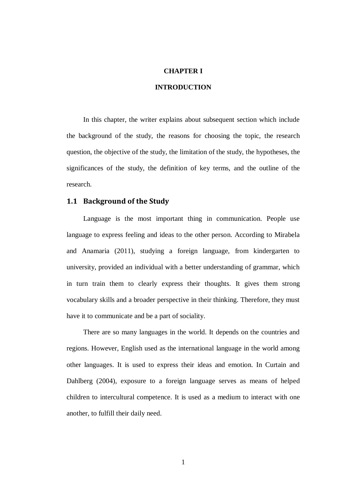### **CHAPTER I**

## **INTRODUCTION**

In this chapter, the writer explains about subsequent section which include the background of the study, the reasons for choosing the topic, the research question, the objective of the study, the limitation of the study, the hypotheses, the significances of the study, the definition of key terms, and the outline of the research.

#### **1.1 Background of the Study**

Language is the most important thing in communication. People use language to express feeling and ideas to the other person. According to Mirabela and Anamaria (2011), studying a foreign language, from kindergarten to university, provided an individual with a better understanding of grammar, which in turn train them to clearly express their thoughts. It gives them strong vocabulary skills and a broader perspective in their thinking. Therefore, they must have it to communicate and be a part of sociality.

There are so many languages in the world. It depends on the countries and regions. However, English used as the international language in the world among other languages. It is used to express their ideas and emotion. In Curtain and Dahlberg (2004), exposure to a foreign language serves as means of helped children to intercultural competence. It is used as a medium to interact with one another, to fulfill their daily need.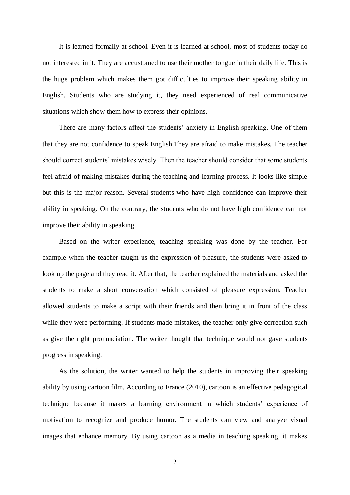It is learned formally at school. Even it is learned at school, most of students today do not interested in it. They are accustomed to use their mother tongue in their daily life. This is the huge problem which makes them got difficulties to improve their speaking ability in English. Students who are studying it, they need experienced of real communicative situations which show them how to express their opinions.

There are many factors affect the students' anxiety in English speaking. One of them that they are not confidence to speak English.They are afraid to make mistakes. The teacher should correct students' mistakes wisely. Then the teacher should consider that some students feel afraid of making mistakes during the teaching and learning process. It looks like simple but this is the major reason. Several students who have high confidence can improve their ability in speaking. On the contrary, the students who do not have high confidence can not improve their ability in speaking.

Based on the writer experience, teaching speaking was done by the teacher. For example when the teacher taught us the expression of pleasure, the students were asked to look up the page and they read it. After that, the teacher explained the materials and asked the students to make a short conversation which consisted of pleasure expression. Teacher allowed students to make a script with their friends and then bring it in front of the class while they were performing. If students made mistakes, the teacher only give correction such as give the right pronunciation. The writer thought that technique would not gave students progress in speaking.

As the solution, the writer wanted to help the students in improving their speaking ability by using cartoon film. According to France (2010), cartoon is an effective pedagogical technique because it makes a learning environment in which students' experience of motivation to recognize and produce humor. The students can view and analyze visual images that enhance memory. By using cartoon as a media in teaching speaking, it makes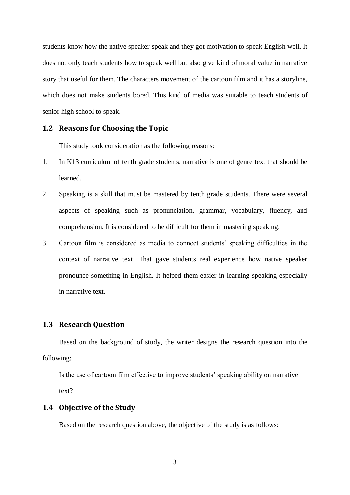students know how the native speaker speak and they got motivation to speak English well. It does not only teach students how to speak well but also give kind of moral value in narrative story that useful for them. The characters movement of the cartoon film and it has a storyline, which does not make students bored. This kind of media was suitable to teach students of senior high school to speak.

### **1.2 Reasons for Choosing the Topic**

This study took consideration as the following reasons:

- 1. In K13 curriculum of tenth grade students, narrative is one of genre text that should be learned.
- 2. Speaking is a skill that must be mastered by tenth grade students. There were several aspects of speaking such as pronunciation, grammar, vocabulary, fluency, and comprehension. It is considered to be difficult for them in mastering speaking.
- 3. Cartoon film is considered as media to connect students' speaking difficulties in the context of narrative text. That gave students real experience how native speaker pronounce something in English. It helped them easier in learning speaking especially in narrative text.

## **1.3 Research Question**

Based on the background of study, the writer designs the research question into the following:

Is the use of cartoon film effective to improve students' speaking ability on narrative text?

#### **1.4 Objective of the Study**

Based on the research question above, the objective of the study is as follows:

3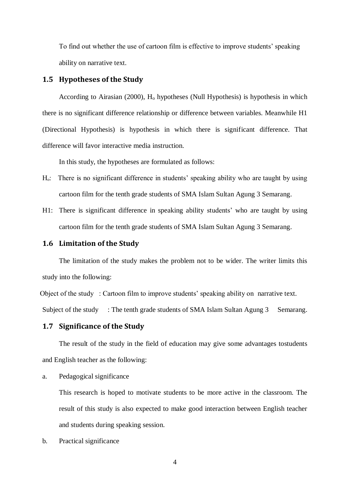To find out whether the use of cartoon film is effective to improve students' speaking ability on narrative text.

### **1.5 Hypotheses of the Study**

According to Airasian  $(2000)$ ,  $H_0$  hypotheses (Null Hypothesis) is hypothesis in which there is no significant difference relationship or difference between variables. Meanwhile H1 (Directional Hypothesis) is hypothesis in which there is significant difference. That difference will favor interactive media instruction.

In this study, the hypotheses are formulated as follows:

- H<sub>0</sub>: There is no significant difference in students' speaking ability who are taught by using cartoon film for the tenth grade students of SMA Islam Sultan Agung 3 Semarang.
- H1: There is significant difference in speaking ability students' who are taught by using cartoon film for the tenth grade students of SMA Islam Sultan Agung 3 Semarang.

## **1.6 Limitation of the Study**

The limitation of the study makes the problem not to be wider. The writer limits this study into the following:

Object of the study : Cartoon film to improve students' speaking ability on narrative text. Subject of the study : The tenth grade students of SMA Islam Sultan Agung 3 Semarang.

#### **1.7 Significance of the Study**

The result of the study in the field of education may give some advantages tostudents and English teacher as the following:

a. Pedagogical significance

This research is hoped to motivate students to be more active in the classroom. The result of this study is also expected to make good interaction between English teacher and students during speaking session.

b. Practical significance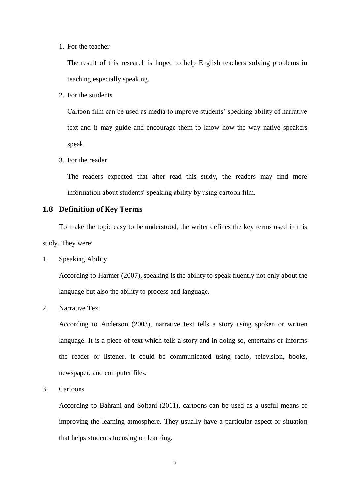#### 1. For the teacher

The result of this research is hoped to help English teachers solving problems in teaching especially speaking.

2. For the students

Cartoon film can be used as media to improve students' speaking ability of narrative text and it may guide and encourage them to know how the way native speakers speak.

3. For the reader

The readers expected that after read this study, the readers may find more information about students' speaking ability by using cartoon film.

# **1.8 Definition of Key Terms**

To make the topic easy to be understood, the writer defines the key terms used in this study. They were:

1. Speaking Ability

According to Harmer (2007), speaking is the ability to speak fluently not only about the language but also the ability to process and language.

2. Narrative Text

According to Anderson (2003), narrative text tells a story using spoken or written language. It is a piece of text which tells a story and in doing so, entertains or informs the reader or listener. It could be communicated using radio, television, books, newspaper, and computer files.

3. Cartoons

According to Bahrani and Soltani (2011), cartoons can be used as a useful means of improving the learning atmosphere. They usually have a particular aspect or situation that helps students focusing on learning.